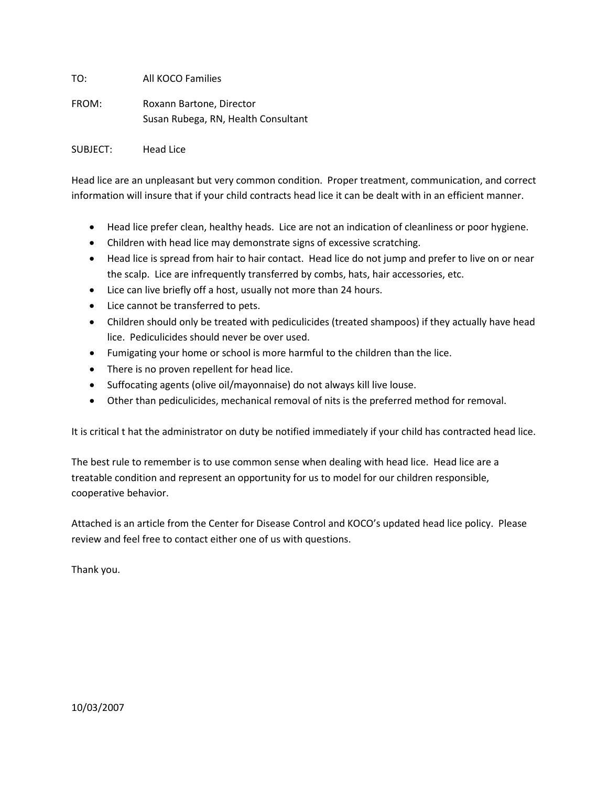TO: All KOCO Families

FROM: Roxann Bartone, Director Susan Rubega, RN, Health Consultant

SUBJECT: Head Lice

Head lice are an unpleasant but very common condition. Proper treatment, communication, and correct information will insure that if your child contracts head lice it can be dealt with in an efficient manner.

- Head lice prefer clean, healthy heads. Lice are not an indication of cleanliness or poor hygiene.
- Children with head lice may demonstrate signs of excessive scratching.
- Head lice is spread from hair to hair contact. Head lice do not jump and prefer to live on or near the scalp. Lice are infrequently transferred by combs, hats, hair accessories, etc.
- Lice can live briefly off a host, usually not more than 24 hours.
- Lice cannot be transferred to pets.
- Children should only be treated with pediculicides (treated shampoos) if they actually have head lice. Pediculicides should never be over used.
- Fumigating your home or school is more harmful to the children than the lice.
- There is no proven repellent for head lice.
- Suffocating agents (olive oil/mayonnaise) do not always kill live louse.
- Other than pediculicides, mechanical removal of nits is the preferred method for removal.

It is critical t hat the administrator on duty be notified immediately if your child has contracted head lice.

The best rule to remember is to use common sense when dealing with head lice. Head lice are a treatable condition and represent an opportunity for us to model for our children responsible, cooperative behavior.

Attached is an article from the Center for Disease Control and KOCO's updated head lice policy. Please review and feel free to contact either one of us with questions.

Thank you.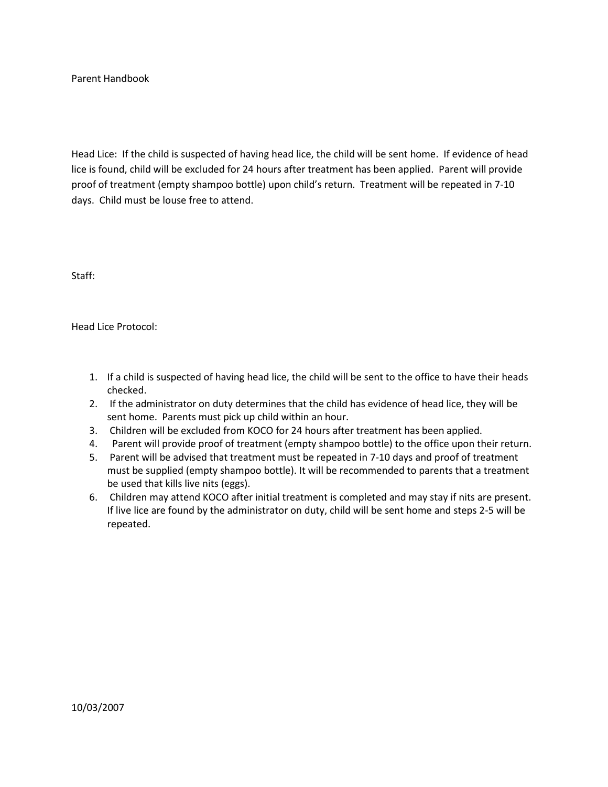Parent Handbook

Head Lice: If the child is suspected of having head lice, the child will be sent home. If evidence of head lice is found, child will be excluded for 24 hours after treatment has been applied. Parent will provide proof of treatment (empty shampoo bottle) upon child's return. Treatment will be repeated in 7-10 days. Child must be louse free to attend.

Staff:

Head Lice Protocol:

- 1. If a child is suspected of having head lice, the child will be sent to the office to have their heads checked.
- 2. If the administrator on duty determines that the child has evidence of head lice, they will be sent home. Parents must pick up child within an hour.
- 3. Children will be excluded from KOCO for 24 hours after treatment has been applied.
- 4. Parent will provide proof of treatment (empty shampoo bottle) to the office upon their return.
- 5. Parent will be advised that treatment must be repeated in 7-10 days and proof of treatment must be supplied (empty shampoo bottle). It will be recommended to parents that a treatment be used that kills live nits (eggs).
- 6. Children may attend KOCO after initial treatment is completed and may stay if nits are present. If live lice are found by the administrator on duty, child will be sent home and steps 2-5 will be repeated.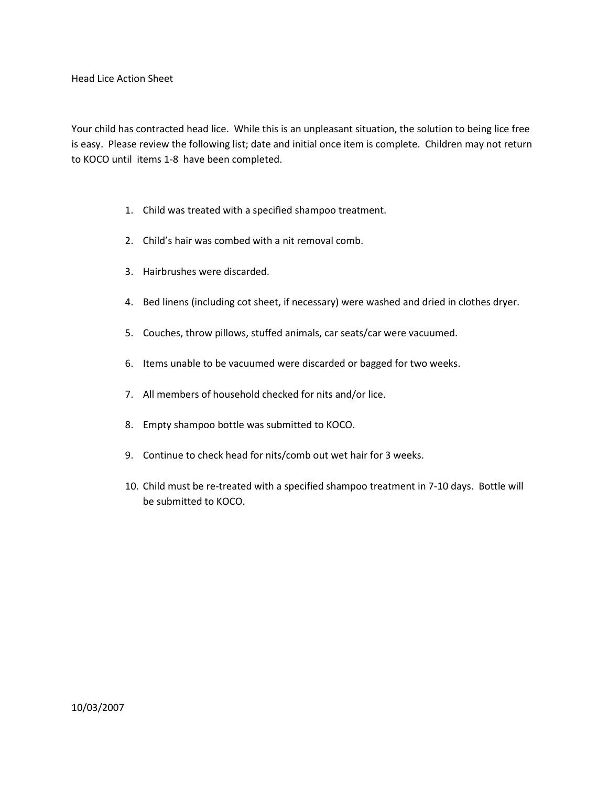Your child has contracted head lice. While this is an unpleasant situation, the solution to being lice free is easy. Please review the following list; date and initial once item is complete. Children may not return to KOCO until items 1-8 have been completed.

- 1. Child was treated with a specified shampoo treatment.
- 2. Child's hair was combed with a nit removal comb.
- 3. Hairbrushes were discarded.
- 4. Bed linens (including cot sheet, if necessary) were washed and dried in clothes dryer.
- 5. Couches, throw pillows, stuffed animals, car seats/car were vacuumed.
- 6. Items unable to be vacuumed were discarded or bagged for two weeks.
- 7. All members of household checked for nits and/or lice.
- 8. Empty shampoo bottle was submitted to KOCO.
- 9. Continue to check head for nits/comb out wet hair for 3 weeks.
- 10. Child must be re-treated with a specified shampoo treatment in 7-10 days. Bottle will be submitted to KOCO.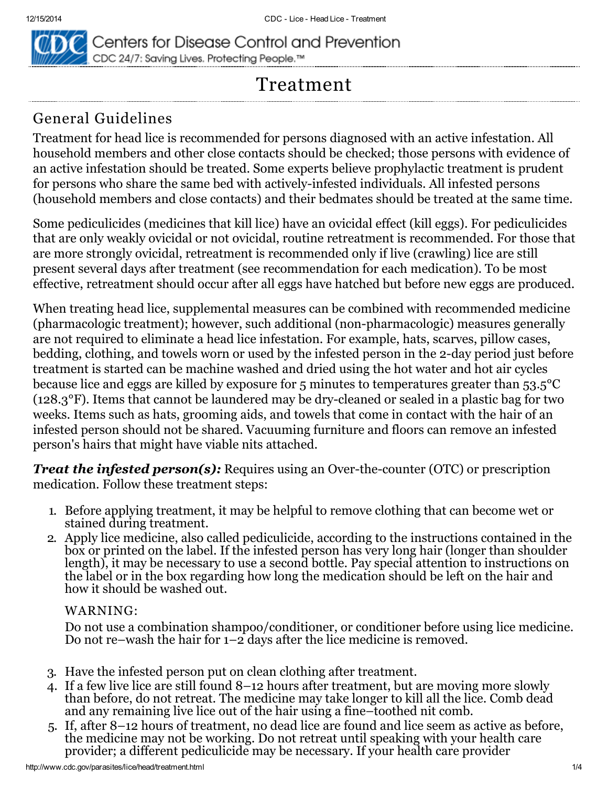

Centers for Disease Control and Prevention CDC 24/7: Saving Lives. Protecting People.™

# Treatment

# General Guidelines

Treatment for head lice is recommended for persons diagnosed with an active infestation. All household members and other close contacts should be checked; those persons with evidence of an active infestation should be treated. Some experts believe prophylactic treatment is prudent for persons who share the same bed with actively-infested individuals. All infested persons (household members and close contacts) and their bedmates should be treated at the same time.

Some pediculicides (medicines that kill lice) have an ovicidal effect (kill eggs). For pediculicides that are only weakly ovicidal or not ovicidal, routine retreatment is recommended. For those that are more strongly ovicidal, retreatment is recommended only if live (crawling) lice are still present several days after treatment (see recommendation for each medication). To be most effective, retreatment should occur after all eggs have hatched but before new eggs are produced.

When treating head lice, supplemental measures can be combined with recommended medicine (pharmacologic treatment); however, such additional (non-pharmacologic) measures generally are not required to eliminate a head lice infestation. For example, hats, scarves, pillow cases, bedding, clothing, and towels worn or used by the infested person in the 2-day period just before treatment is started can be machine washed and dried using the hot water and hot air cycles because lice and eggs are killed by exposure for 5 minutes to temperatures greater than 53.5°C ( $128.3^{\circ}$ F). Items that cannot be laundered may be dry-cleaned or sealed in a plastic bag for two weeks. Items such as hats, grooming aids, and towels that come in contact with the hair of an infested person should not be shared. Vacuuming furniture and floors can remove an infested person's hairs that might have viable nits attached.

**Treat the infested person(s):** Requires using an Over-the-counter (OTC) or prescription medication. Follow these treatment steps:

- 1. Before applying treatment, it may be helpful to remove clothing that can become wet or stained during treatment.
- 2. Apply lice medicine, also called pediculicide, according to the instructions contained in the box or printed on the label. If the infested person has very long hair (longer than shoulder length), it may be necessary to use a second bottle. Pay special attention to instructions on the label or in the box regarding how long the medication should be left on the hair and how it should be washed out.

#### WARNING:

Do not use a combination shampoo/conditioner, or conditioner before using lice medicine. Do not re–wash the hair for  $1-\overline{2}$  days after the lice medicine is removed.

- 3. Have the infested person put on clean clothing after treatment.
- 4. If a few live lice are still found 8–12 hours after treatment, but are moving more slowly than before, do not retreat. The medicine may take longer to kill all the lice. Comb dead and any remaining live lice out of the hair using a fine–toothed nit comb.
- 5. If, after 8–12 hours of treatment, no dead lice are found and lice seem as active as before, the medicine may not be working. Do not retreat until speaking with your health care provider; a different pediculicide may be necessary. If your health care provider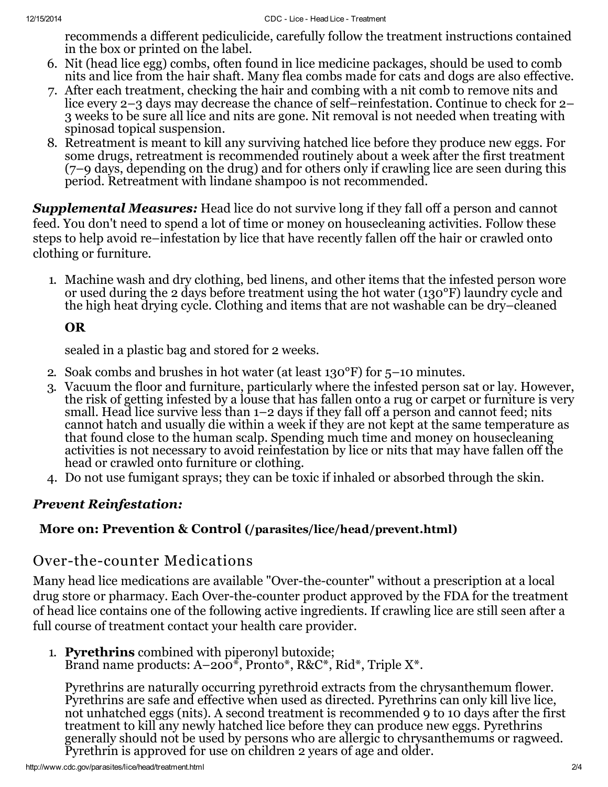recommends a different pediculicide, carefully follow the treatment instructions contained in the box or printed on the label.

- 6. Nit (head lice egg) combs, often found in lice medicine packages, should be used to comb nits and lice from the hair shaft. Many flea combs made for cats and dogs are also effective.
- 7. After each treatment, checking the hair and combing with a nit comb to remove nits and lice every 2–3 days may decrease the chance of self–reinfestation. Continue to check for 2– 3 weeks to be sure all lice and nits are gone. Nit removal is not needed when treating with spinosad topical suspension.
- 8. Retreatment is meant to kill any surviving hatched lice before they produce new eggs. For some drugs, retreatment is recommended routinely about a week after the first treatment (7–9 days, depending on the drug) and for others only if crawling lice are seen during this period. Retreatment with lindane shampoo is not recommended.

**Supplemental Measures:** Head lice do not survive long if they fall off a person and cannot feed. You don't need to spend a lot of time or money on housecleaning activities. Follow these steps to help avoid re–infestation by lice that have recently fallen off the hair or crawled onto clothing or furniture.

1. Machine wash and dry clothing, bed linens, and other items that the infested person wore or used during the 2 days before treatment using the hot water (130°F) laundry cycle and the high heat drying cycle. Clothing and items that are not washable can be dry–cleaned

### OR

sealed in a plastic bag and stored for 2 weeks.

- 2. Soak combs and brushes in hot water (at least 130°F) for 5–10 minutes.
- 3. Vacuum the floor and furniture, particularly where the infested person sat or lay. However, the risk of getting infested by a louse that has fallen onto a rug or carpet or furniture is very small. Head lice survive less than  $1-2$  days if they fall off a person and cannot feed; nits cannot hatch and usually die within a week if they are not kept at the same temperature as that found close to the human scalp. Spending much time and money on housecleaning activities is not necessary to avoid reinfestation by lice or nits that may have fallen off the head or crawled onto furniture or clothing.
- 4. Do not use fumigant sprays; they can be toxic if inhaled or absorbed through the skin.

#### Prevent Reinfestation:

#### More on: Prevention & Control [\(/parasites/lice/head/prevent.html\)](http://www.cdc.gov/parasites/lice/head/prevent.html)

## Over-the-counter Medications

Many head lice medications are available "Over-the-counter" without a prescription at a local drug store or pharmacy. Each Over-the-counter product approved by the FDA for the treatment of head lice contains one of the following active ingredients. If crawling lice are still seen after a full course of treatment contact your health care provider.

- 1. Pyrethrins combined with piperonyl butoxide;
	- Brand name products:  $A-200^*$ , Pronto\*, R&C\*, Rid\*, Triple X\*.

Pyrethrins are naturally occurring pyrethroid extracts from the chrysanthemum flower. Pyrethrins are safe and effective when used as directed. Pyrethrins can only kill live lice, not unhatched eggs (nits). A second treatment is recommended 9 to 10 days after the first treatment to kill any newly hatched lice before they can produce new eggs. Pyrethrins generally should not be used by persons who are allergic to chrysanthemums or ragweed. Pyrethrin is approved for use on children 2 years of age and older.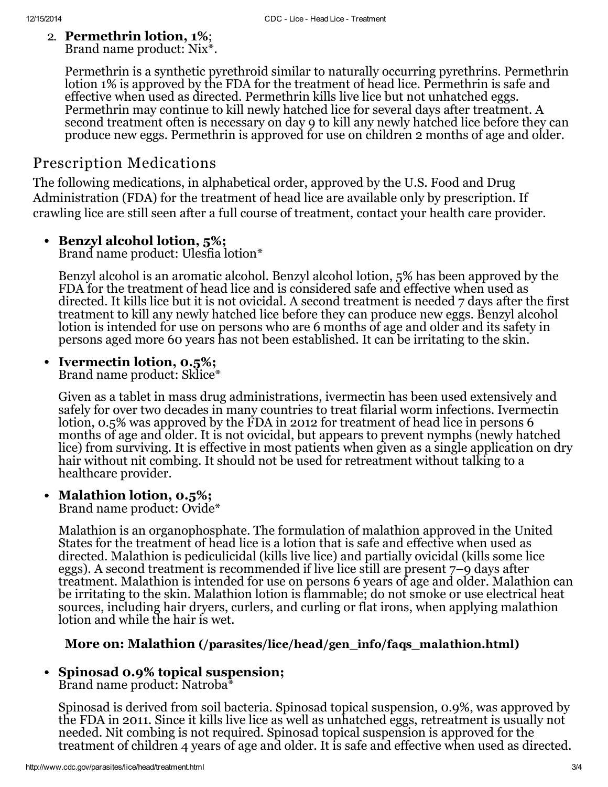#### 2. Permethrin lotion, 1%; Brand name product: Nix\*.

Permethrin is a synthetic pyrethroid similar to naturally occurring pyrethrins. Permethrin lotion 1% is approved by the FDA for the treatment of head lice. Permethrin is safe and effective when used as directed. Permethrin kills live lice but not unhatched eggs. Permethrin may continue to kill newly hatched lice for several days after treatment. A second treatment often is necessary on day 9 to kill any newly hatched lice before they can produce new eggs. Permethrin is approved for use on children 2 months of age and older.

# Prescription Medications

The following medications, in alphabetical order, approved by the U.S. Food and Drug Administration (FDA) for the treatment of head lice are available only by prescription. If crawling lice are still seen after a full course of treatment, contact your health care provider.

#### • Benzyl alcohol lotion, 5%;

Brand name product: Ulesfia lotion\*

Benzyl alcohol is an aromatic alcohol. Benzyl alcohol lotion, 5% has been approved by the FDA for the treatment of head lice and is considered safe and effective when used as directed. It kills lice but it is not ovicidal. A second treatment is needed 7 days after the first treatment to kill any newly hatched lice before they can produce new eggs. Benzyl alcohol lotion is intended for use on persons who are 6 months of age and older and its safety in persons aged more 60 years has not been established. It can be irritating to the skin.

#### • Ivermectin lotion, 0.5%;

Brand name product: Sklice\*

Given as a tablet in mass drug administrations, ivermectin has been used extensively and safely for over two decades in many countries to treat filarial worm infections. Ivermectin lotion, 0.5% was approved by the FDA in 2012 for treatment of head lice in persons 6 months of age and older. It is not ovicidal, but appears to prevent nymphs (newly hatched lice) from surviving. It is effective in most patients when given as a single application on dry hair without nit combing. It should not be used for retreatment without talking to a healthcare provider.

#### $\bullet$ Malathion lotion, 0.5%;

Brand name product: Ovide\*

Malathion is an organophosphate. The formulation of malathion approved in the United States for the treatment of head lice is a lotion that is safe and effective when used as directed. Malathion is pediculicidal (kills live lice) and partially ovicidal (kills some lice eggs). A second treatment is recommended if live lice still are present 7–9 days after treatment. Malathion is intended for use on persons 6 years of age and older. Malathion can be irritating to the skin. Malathion lotion is flammable; do not smoke or use electrical heat sources, including hair dryers, curlers, and curling or flat irons, when applying malathion lotion and while the hair is wet.

#### More on: Malathion [\(/parasites/lice/head/gen\\_info/faqs\\_malathion.html\)](http://www.cdc.gov/parasites/lice/head/gen_info/faqs_malathion.html)

## • Spinosad 0.9% topical suspension;

Brand name product: Natroba\*

Spinosad is derived from soil bacteria. Spinosad topical suspension, 0.9%, was approved by the FDA in 2011. Since it kills live lice as well as unhatched eggs, retreatment is usually not needed. Nit combing is not required. Spinosad topical suspension is approved for the treatment of children 4 years of age and older. It is safe and effective when used as directed.